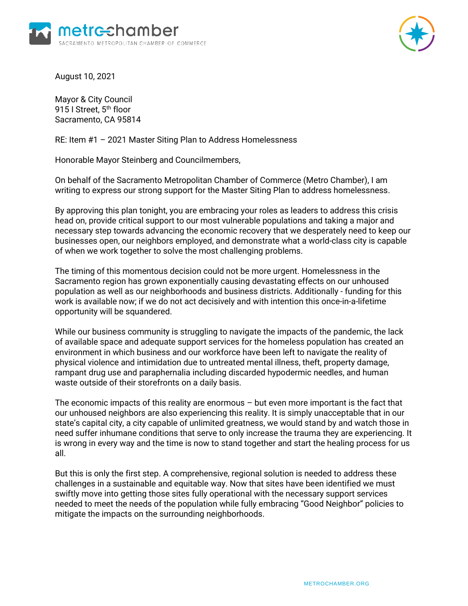



August 10, 2021

Mayor & City Council 915 I Street, 5<sup>th</sup> floor Sacramento, CA 95814

RE: Item #1 – 2021 Master Siting Plan to Address Homelessness

Honorable Mayor Steinberg and Councilmembers,

On behalf of the Sacramento Metropolitan Chamber of Commerce (Metro Chamber), I am writing to express our strong support for the Master Siting Plan to address homelessness.

By approving this plan tonight, you are embracing your roles as leaders to address this crisis head on, provide critical support to our most vulnerable populations and taking a major and necessary step towards advancing the economic recovery that we desperately need to keep our businesses open, our neighbors employed, and demonstrate what a world-class city is capable of when we work together to solve the most challenging problems.

The timing of this momentous decision could not be more urgent. Homelessness in the Sacramento region has grown exponentially causing devastating effects on our unhoused population as well as our neighborhoods and business districts. Additionally - funding for this work is available now; if we do not act decisively and with intention this once-in-a-lifetime opportunity will be squandered.

While our business community is struggling to navigate the impacts of the pandemic, the lack of available space and adequate support services for the homeless population has created an environment in which business and our workforce have been left to navigate the reality of physical violence and intimidation due to untreated mental illness, theft, property damage, rampant drug use and paraphernalia including discarded hypodermic needles, and human waste outside of their storefronts on a daily basis.

The economic impacts of this reality are enormous – but even more important is the fact that our unhoused neighbors are also experiencing this reality. It is simply unacceptable that in our state's capital city, a city capable of unlimited greatness, we would stand by and watch those in need suffer inhumane conditions that serve to only increase the trauma they are experiencing. It is wrong in every way and the time is now to stand together and start the healing process for us all.

But this is only the first step. A comprehensive, regional solution is needed to address these challenges in a sustainable and equitable way. Now that sites have been identified we must swiftly move into getting those sites fully operational with the necessary support services needed to meet the needs of the population while fully embracing "Good Neighbor" policies to mitigate the impacts on the surrounding neighborhoods.